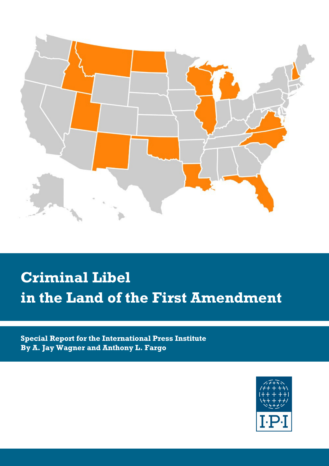

# **Criminal Libel in the Land of the First Amendment**

**Special Report for the International Press Institute By A. Jay Wagner and Anthony L. Fargo**

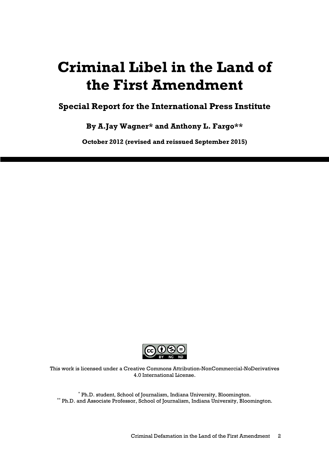## **Criminal Libel in the Land of the First Amendment**

### **Special Report for the International Press Institute**

**By A.Jay Wagner\* and Anthony L. Fargo\*\*** 

**October 2012 (revised and reissued September 2015)** 



This work is licensed under a Creative Commons Attribution-NonCommercial-NoDerivatives 4.0 International License.

\* Ph.D. student, School of Journalism, Indiana University, Bloomington. \*\* Ph.D. and Associate Professor, School of Journalism, Indiana University, Bloomington.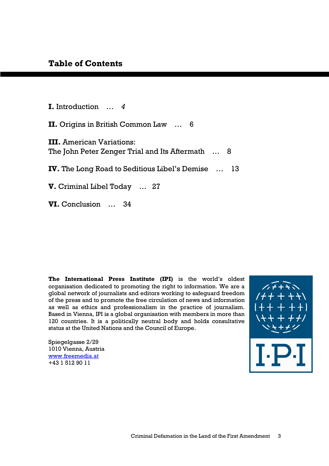**I.** Introduction … *4*

**II.** Origins in British Common Law … 6

**III.** American Variations: The John Peter Zenger Trial and Its Aftermath ... 8

**IV.** The Long Road to Seditious Libel's Demise … 13

**V.** Criminal Libel Today … 27

**VI.** Conclusion … 34

**The International Press Institute (IPI)** is the world's oldest organisation dedicated to promoting the right to information. We are a global network of journalists and editors working to safeguard freedom of the press and to promote the free circulation of news and information as well as ethics and professionalism in the practice of journalism. Based in Vienna, IPI is a global organisation with members in more than 120 countries. It is a politically neutral body and holds consultative status at the United Nations and the Council of Europe.

Spiegelgasse 2/29 1010 Vienna, Austria www.freemedia.at +43 1 512 90 11

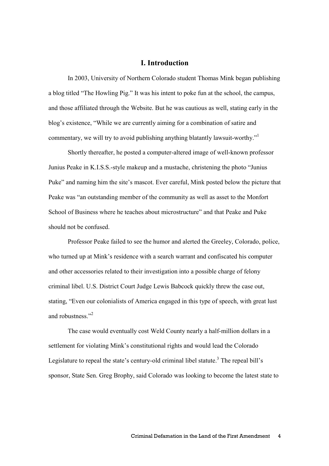#### **I. Introduction**

In 2003, University of Northern Colorado student Thomas Mink began publishing a blog titled "The Howling Pig." It was his intent to poke fun at the school, the campus, and those affiliated through the Website. But he was cautious as well, stating early in the blog's existence, "While we are currently aiming for a combination of satire and commentary, we will try to avoid publishing anything blatantly lawsuit-worthy."<sup>1</sup>

Shortly thereafter, he posted a computer-altered image of well-known professor Junius Peake in K.I.S.S.-style makeup and a mustache, christening the photo "Junius Puke" and naming him the site's mascot. Ever careful, Mink posted below the picture that Peake was "an outstanding member of the community as well as asset to the Monfort School of Business where he teaches about microstructure" and that Peake and Puke should not be confused.

Professor Peake failed to see the humor and alerted the Greeley, Colorado, police, who turned up at Mink's residence with a search warrant and confiscated his computer and other accessories related to their investigation into a possible charge of felony criminal libel. U.S. District Court Judge Lewis Babcock quickly threw the case out, stating, "Even our colonialists of America engaged in this type of speech, with great lust and robustness<sup>"2</sup>

The case would eventually cost Weld County nearly a half-million dollars in a settlement for violating Mink's constitutional rights and would lead the Colorado Legislature to repeal the state's century-old criminal libel statute.<sup>3</sup> The repeal bill's sponsor, State Sen. Greg Brophy, said Colorado was looking to become the latest state to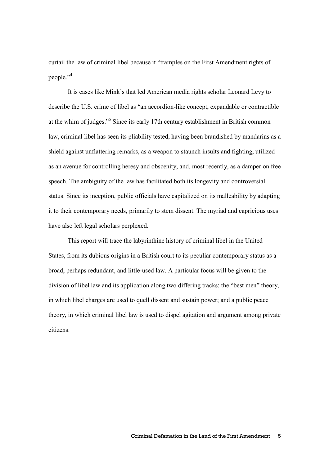curtail the law of criminal libel because it "tramples on the First Amendment rights of people."<sup>4</sup>

It is cases like Mink's that led American media rights scholar Leonard Levy to describe the U.S. crime of libel as "an accordion-like concept, expandable or contractible at the whim of judges."<sup>5</sup> Since its early 17th century establishment in British common law, criminal libel has seen its pliability tested, having been brandished by mandarins as a shield against unflattering remarks, as a weapon to staunch insults and fighting, utilized as an avenue for controlling heresy and obscenity, and, most recently, as a damper on free speech. The ambiguity of the law has facilitated both its longevity and controversial status. Since its inception, public officials have capitalized on its malleability by adapting it to their contemporary needs, primarily to stem dissent. The myriad and capricious uses have also left legal scholars perplexed.

This report will trace the labyrinthine history of criminal libel in the United States, from its dubious origins in a British court to its peculiar contemporary status as a broad, perhaps redundant, and little-used law. A particular focus will be given to the division of libel law and its application along two differing tracks: the "best men" theory, in which libel charges are used to quell dissent and sustain power; and a public peace theory, in which criminal libel law is used to dispel agitation and argument among private citizens.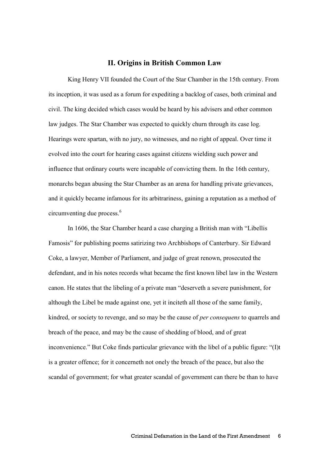#### **II. Origins in British Common Law**

King Henry VII founded the Court of the Star Chamber in the 15th century. From its inception, it was used as a forum for expediting a backlog of cases, both criminal and civil. The king decided which cases would be heard by his advisers and other common law judges. The Star Chamber was expected to quickly churn through its case log. Hearings were spartan, with no jury, no witnesses, and no right of appeal. Over time it evolved into the court for hearing cases against citizens wielding such power and influence that ordinary courts were incapable of convicting them. In the 16th century, monarchs began abusing the Star Chamber as an arena for handling private grievances, and it quickly became infamous for its arbitrariness, gaining a reputation as a method of circumventing due process.<sup>6</sup>

In 1606, the Star Chamber heard a case charging a British man with "Libellis Famosis" for publishing poems satirizing two Archbishops of Canterbury. Sir Edward Coke, a lawyer, Member of Parliament, and judge of great renown, prosecuted the defendant, and in his notes records what became the first known libel law in the Western canon. He states that the libeling of a private man "deserveth a severe punishment, for although the Libel be made against one, yet it inciteth all those of the same family, kindred, or society to revenge, and so may be the cause of *per consequens* to quarrels and breach of the peace, and may be the cause of shedding of blood, and of great inconvenience." But Coke finds particular grievance with the libel of a public figure: "(I)t is a greater offence; for it concerneth not onely the breach of the peace, but also the scandal of government; for what greater scandal of government can there be than to have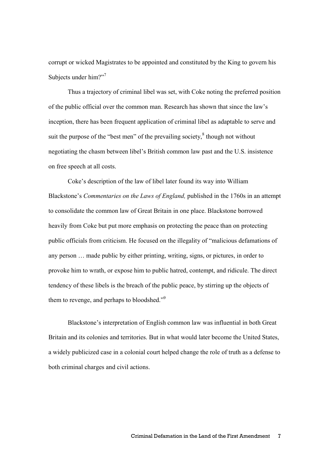corrupt or wicked Magistrates to be appointed and constituted by the King to govern his Subjects under him?"<sup>7</sup>

Thus a trajectory of criminal libel was set, with Coke noting the preferred position of the public official over the common man. Research has shown that since the law's inception, there has been frequent application of criminal libel as adaptable to serve and suit the purpose of the "best men" of the prevailing society, $\delta$  though not without negotiating the chasm between libel's British common law past and the U.S. insistence on free speech at all costs.

Coke's description of the law of libel later found its way into William Blackstone's *Commentaries on the Laws of England,* published in the 1760s in an attempt to consolidate the common law of Great Britain in one place. Blackstone borrowed heavily from Coke but put more emphasis on protecting the peace than on protecting public officials from criticism. He focused on the illegality of "malicious defamations of any person … made public by either printing, writing, signs, or pictures, in order to provoke him to wrath, or expose him to public hatred, contempt, and ridicule. The direct tendency of these libels is the breach of the public peace, by stirring up the objects of them to revenge, and perhaps to bloodshed."<sup>9</sup>

Blackstone's interpretation of English common law was influential in both Great Britain and its colonies and territories. But in what would later become the United States, a widely publicized case in a colonial court helped change the role of truth as a defense to both criminal charges and civil actions.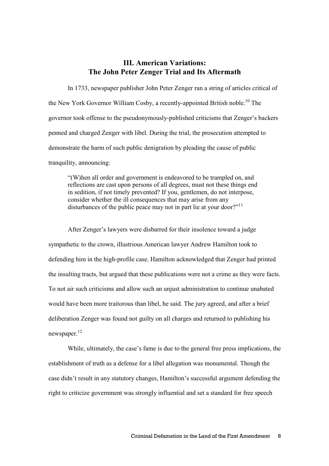#### **III. American Variations: The John Peter Zenger Trial and Its Aftermath**

 In 1733, newspaper publisher John Peter Zenger ran a string of articles critical of the New York Governor William Cosby, a recently-appointed British noble.<sup>10</sup> The governor took offense to the pseudonymously-published criticisms that Zenger's backers penned and charged Zenger with libel. During the trial, the prosecution attempted to demonstrate the harm of such public denigration by pleading the cause of public tranquility, announcing:

"(W)hen all order and government is endeavored to be trampled on, and reflections are cast upon persons of all degrees, must not these things end in sedition, if not timely prevented? If you, gentlemen, do not interpose, consider whether the ill consequences that may arise from any disturbances of the public peace may not in part lie at your door?"<sup>11</sup>

After Zenger's lawyers were disbarred for their insolence toward a judge sympathetic to the crown, illustrious American lawyer Andrew Hamilton took to defending him in the high-profile case. Hamilton acknowledged that Zenger had printed the insulting tracts, but argued that these publications were not a crime as they were facts. To not air such criticisms and allow such an unjust administration to continue unabated would have been more traitorous than libel, he said. The jury agreed, and after a brief deliberation Zenger was found not guilty on all charges and returned to publishing his newspaper.<sup>12</sup>

 While, ultimately, the case's fame is due to the general free press implications, the establishment of truth as a defense for a libel allegation was monumental. Though the case didn't result in any statutory changes, Hamilton's successful argument defending the right to criticize government was strongly influential and set a standard for free speech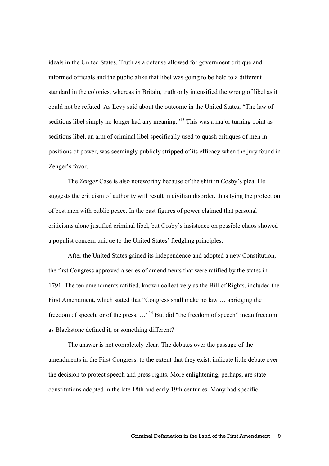ideals in the United States. Truth as a defense allowed for government critique and informed officials and the public alike that libel was going to be held to a different standard in the colonies, whereas in Britain, truth only intensified the wrong of libel as it could not be refuted. As Levy said about the outcome in the United States, "The law of seditious libel simply no longer had any meaning.<sup>"13</sup> This was a major turning point as seditious libel, an arm of criminal libel specifically used to quash critiques of men in positions of power, was seemingly publicly stripped of its efficacy when the jury found in Zenger's favor.

 The *Zenger* Case is also noteworthy because of the shift in Cosby's plea. He suggests the criticism of authority will result in civilian disorder, thus tying the protection of best men with public peace. In the past figures of power claimed that personal criticisms alone justified criminal libel, but Cosby's insistence on possible chaos showed a populist concern unique to the United States' fledgling principles.

 After the United States gained its independence and adopted a new Constitution, the first Congress approved a series of amendments that were ratified by the states in 1791. The ten amendments ratified, known collectively as the Bill of Rights, included the First Amendment, which stated that "Congress shall make no law … abridging the freedom of speech, or of the press. …"<sup>14</sup> But did "the freedom of speech" mean freedom as Blackstone defined it, or something different?

 The answer is not completely clear. The debates over the passage of the amendments in the First Congress, to the extent that they exist, indicate little debate over the decision to protect speech and press rights. More enlightening, perhaps, are state constitutions adopted in the late 18th and early 19th centuries. Many had specific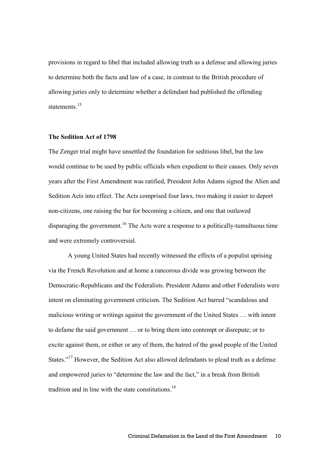provisions in regard to libel that included allowing truth as a defense and allowing juries to determine both the facts and law of a case, in contrast to the British procedure of allowing juries only to determine whether a defendant had published the offending statements.<sup>15</sup>

#### **The Sedition Act of 1798**

The Zenger trial might have unsettled the foundation for seditious libel, but the law would continue to be used by public officials when expedient to their causes. Only seven years after the First Amendment was ratified, President John Adams signed the Alien and Sedition Acts into effect. The Acts comprised four laws, two making it easier to deport non-citizens, one raising the bar for becoming a citizen, and one that outlawed disparaging the government.<sup>16</sup> The Acts were a response to a politically-tumultuous time and were extremely controversial.

A young United States had recently witnessed the effects of a populist uprising via the French Revolution and at home a rancorous divide was growing between the Democratic-Republicans and the Federalists. President Adams and other Federalists were intent on eliminating government criticism. The Sedition Act barred "scandalous and malicious writing or writings against the government of the United States … with intent to defame the said government … or to bring them into contempt or disrepute; or to excite against them, or either or any of them, the hatred of the good people of the United States."<sup>17</sup> However, the Sedition Act also allowed defendants to plead truth as a defense and empowered juries to "determine the law and the fact," in a break from British tradition and in line with the state constitutions. $18$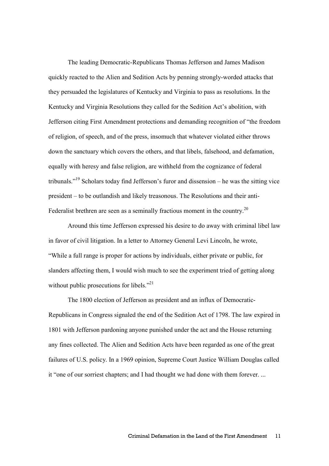The leading Democratic-Republicans Thomas Jefferson and James Madison quickly reacted to the Alien and Sedition Acts by penning strongly-worded attacks that they persuaded the legislatures of Kentucky and Virginia to pass as resolutions. In the Kentucky and Virginia Resolutions they called for the Sedition Act's abolition, with Jefferson citing First Amendment protections and demanding recognition of "the freedom of religion, of speech, and of the press, insomuch that whatever violated either throws down the sanctuary which covers the others, and that libels, falsehood, and defamation, equally with heresy and false religion, are withheld from the cognizance of federal tribunals."<sup>19</sup> Scholars today find Jefferson's furor and dissension – he was the sitting vice president – to be outlandish and likely treasonous. The Resolutions and their anti-Federalist brethren are seen as a seminally fractious moment in the country.<sup>20</sup>

 Around this time Jefferson expressed his desire to do away with criminal libel law in favor of civil litigation. In a letter to Attorney General Levi Lincoln, he wrote, "While a full range is proper for actions by individuals, either private or public, for slanders affecting them, I would wish much to see the experiment tried of getting along without public prosecutions for libels."<sup>21</sup>

 The 1800 election of Jefferson as president and an influx of Democratic-Republicans in Congress signaled the end of the Sedition Act of 1798. The law expired in 1801 with Jefferson pardoning anyone punished under the act and the House returning any fines collected. The Alien and Sedition Acts have been regarded as one of the great failures of U.S. policy. In a 1969 opinion, Supreme Court Justice William Douglas called it "one of our sorriest chapters; and I had thought we had done with them forever. ...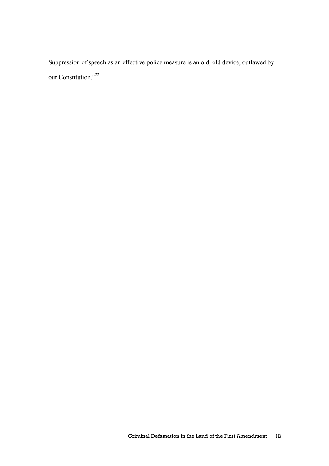Suppression of speech as an effective police measure is an old, old device, outlawed by our Constitution."<sup>22</sup>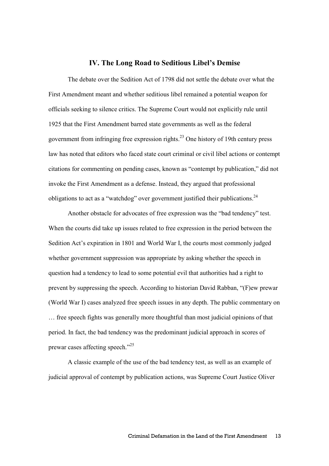#### **IV. The Long Road to Seditious Libel's Demise**

 The debate over the Sedition Act of 1798 did not settle the debate over what the First Amendment meant and whether seditious libel remained a potential weapon for officials seeking to silence critics. The Supreme Court would not explicitly rule until 1925 that the First Amendment barred state governments as well as the federal government from infringing free expression rights.<sup>23</sup> One history of 19th century press law has noted that editors who faced state court criminal or civil libel actions or contempt citations for commenting on pending cases, known as "contempt by publication," did not invoke the First Amendment as a defense. Instead, they argued that professional obligations to act as a "watchdog" over government justified their publications.<sup>24</sup>

Another obstacle for advocates of free expression was the "bad tendency" test. When the courts did take up issues related to free expression in the period between the Sedition Act's expiration in 1801 and World War I, the courts most commonly judged whether government suppression was appropriate by asking whether the speech in question had a tendency to lead to some potential evil that authorities had a right to prevent by suppressing the speech. According to historian David Rabban, "(F)ew prewar (World War I) cases analyzed free speech issues in any depth. The public commentary on … free speech fights was generally more thoughtful than most judicial opinions of that period. In fact, the bad tendency was the predominant judicial approach in scores of prewar cases affecting speech."<sup>25</sup>

 A classic example of the use of the bad tendency test, as well as an example of judicial approval of contempt by publication actions, was Supreme Court Justice Oliver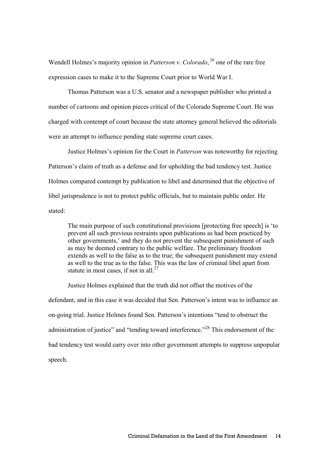Wendell Holmes's majority opinion in *Patterson v. Colorado*, <sup>26</sup> one of the rare free expression cases to make it to the Supreme Court prior to World War I.

Thomas Patterson was a U.S. senator and a newspaper publisher who printed a number of cartoons and opinion pieces critical of the Colorado Supreme Court. He was charged with contempt of court because the state attorney general believed the editorials were an attempt to influence pending state supreme court cases.

Justice Holmes's opinion for the Court in *Patterson* was noteworthy for rejecting Patterson's claim of truth as a defense and for upholding the bad tendency test. Justice Holmes compared contempt by publication to libel and determined that the objective of libel jurisprudence is not to protect public officials, but to maintain public order. He stated:

The main purpose of such constitutional provisions [protecting free speech] is 'to prevent all such previous restraints upon publications as had been practiced by other governments,' and they do not prevent the subsequent punishment of such as may be deemed contrary to the public welfare. The preliminary freedom extends as well to the false as to the true; the subsequent punishment may extend as well to the true as to the false. This was the law of criminal libel apart from statute in most cases, if not in all. $27$ 

 Justice Holmes explained that the truth did not offset the motives of the defendant, and in this case it was decided that Sen. Patterson's intent was to influence an on-going trial. Justice Holmes found Sen. Patterson's intentions "tend to obstruct the administration of justice" and "tending toward interference."<sup>28</sup> This endorsement of the bad tendency test would carry over into other government attempts to suppress unpopular speech.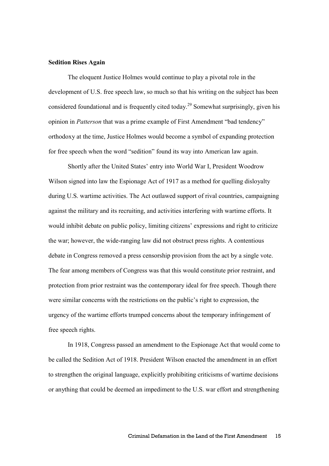#### **Sedition Rises Again**

The eloquent Justice Holmes would continue to play a pivotal role in the development of U.S. free speech law, so much so that his writing on the subject has been considered foundational and is frequently cited today.<sup>29</sup> Somewhat surprisingly, given his opinion in *Patterson* that was a prime example of First Amendment "bad tendency" orthodoxy at the time, Justice Holmes would become a symbol of expanding protection for free speech when the word "sedition" found its way into American law again.

Shortly after the United States' entry into World War I, President Woodrow Wilson signed into law the Espionage Act of 1917 as a method for quelling disloyalty during U.S. wartime activities. The Act outlawed support of rival countries, campaigning against the military and its recruiting, and activities interfering with wartime efforts. It would inhibit debate on public policy, limiting citizens' expressions and right to criticize the war; however, the wide-ranging law did not obstruct press rights. A contentious debate in Congress removed a press censorship provision from the act by a single vote. The fear among members of Congress was that this would constitute prior restraint, and protection from prior restraint was the contemporary ideal for free speech. Though there were similar concerns with the restrictions on the public's right to expression, the urgency of the wartime efforts trumped concerns about the temporary infringement of free speech rights.

 In 1918, Congress passed an amendment to the Espionage Act that would come to be called the Sedition Act of 1918. President Wilson enacted the amendment in an effort to strengthen the original language, explicitly prohibiting criticisms of wartime decisions or anything that could be deemed an impediment to the U.S. war effort and strengthening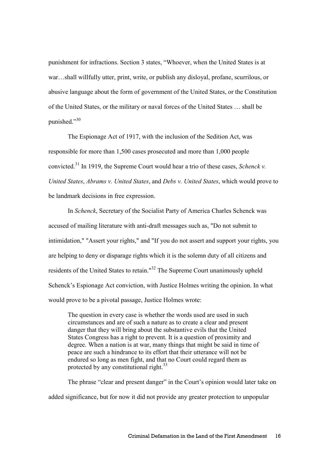punishment for infractions. Section 3 states, "Whoever, when the United States is at war…shall willfully utter, print, write, or publish any disloyal, profane, scurrilous, or abusive language about the form of government of the United States, or the Constitution of the United States, or the military or naval forces of the United States … shall be punished $^{30}$ 

 The Espionage Act of 1917, with the inclusion of the Sedition Act, was responsible for more than 1,500 cases prosecuted and more than 1,000 people convicted.<sup>31</sup> In 1919, the Supreme Court would hear a trio of these cases, *Schenck v. United States*, *Abrams v. United States*, and *Debs v. United States*, which would prove to be landmark decisions in free expression.

 In *Schenck*, Secretary of the Socialist Party of America Charles Schenck was accused of mailing literature with anti-draft messages such as, "Do not submit to intimidation," "Assert your rights," and "If you do not assert and support your rights, you are helping to deny or disparage rights which it is the solemn duty of all citizens and residents of the United States to retain."<sup>32</sup> The Supreme Court unanimously upheld Schenck's Espionage Act conviction, with Justice Holmes writing the opinion. In what would prove to be a pivotal passage, Justice Holmes wrote:

The question in every case is whether the words used are used in such circumstances and are of such a nature as to create a clear and present danger that they will bring about the substantive evils that the United States Congress has a right to prevent. It is a question of proximity and degree. When a nation is at war, many things that might be said in time of peace are such a hindrance to its effort that their utterance will not be endured so long as men fight, and that no Court could regard them as protected by any constitutional right.<sup>33</sup>

The phrase "clear and present danger" in the Court's opinion would later take on added significance, but for now it did not provide any greater protection to unpopular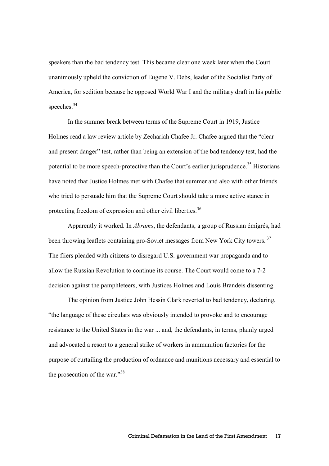speakers than the bad tendency test. This became clear one week later when the Court unanimously upheld the conviction of Eugene V. Debs, leader of the Socialist Party of America, for sedition because he opposed World War I and the military draft in his public speeches.<sup>34</sup>

 In the summer break between terms of the Supreme Court in 1919, Justice Holmes read a law review article by Zechariah Chafee Jr. Chafee argued that the "clear and present danger" test, rather than being an extension of the bad tendency test, had the potential to be more speech-protective than the Court's earlier jurisprudence.<sup>35</sup> Historians have noted that Justice Holmes met with Chafee that summer and also with other friends who tried to persuade him that the Supreme Court should take a more active stance in protecting freedom of expression and other civil liberties.<sup>36</sup>

 Apparently it worked. In *Abrams*, the defendants, a group of Russian émigrés, had been throwing leaflets containing pro-Soviet messages from New York City towers.<sup>37</sup> The fliers pleaded with citizens to disregard U.S. government war propaganda and to allow the Russian Revolution to continue its course. The Court would come to a 7-2 decision against the pamphleteers, with Justices Holmes and Louis Brandeis dissenting.

 The opinion from Justice John Hessin Clark reverted to bad tendency, declaring, "the language of these circulars was obviously intended to provoke and to encourage resistance to the United States in the war ... and, the defendants, in terms, plainly urged and advocated a resort to a general strike of workers in ammunition factories for the purpose of curtailing the production of ordnance and munitions necessary and essential to the prosecution of the war."<sup>38</sup>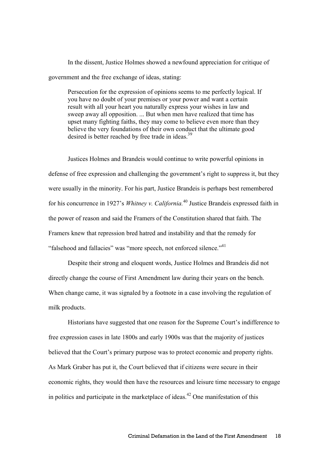In the dissent, Justice Holmes showed a newfound appreciation for critique of government and the free exchange of ideas, stating:

Persecution for the expression of opinions seems to me perfectly logical. If you have no doubt of your premises or your power and want a certain result with all your heart you naturally express your wishes in law and sweep away all opposition. ... But when men have realized that time has upset many fighting faiths, they may come to believe even more than they believe the very foundations of their own conduct that the ultimate good desired is better reached by free trade in ideas.<sup>39</sup>

Justices Holmes and Brandeis would continue to write powerful opinions in defense of free expression and challenging the government's right to suppress it, but they were usually in the minority. For his part, Justice Brandeis is perhaps best remembered for his concurrence in 1927's *Whitney v. California.*<sup>40</sup> Justice Brandeis expressed faith in the power of reason and said the Framers of the Constitution shared that faith. The Framers knew that repression bred hatred and instability and that the remedy for "falsehood and fallacies" was "more speech, not enforced silence."<sup>41</sup>

Despite their strong and eloquent words, Justice Holmes and Brandeis did not directly change the course of First Amendment law during their years on the bench. When change came, it was signaled by a footnote in a case involving the regulation of milk products.

Historians have suggested that one reason for the Supreme Court's indifference to free expression cases in late 1800s and early 1900s was that the majority of justices believed that the Court's primary purpose was to protect economic and property rights. As Mark Graber has put it, the Court believed that if citizens were secure in their economic rights, they would then have the resources and leisure time necessary to engage in politics and participate in the marketplace of ideas.<sup>42</sup> One manifestation of this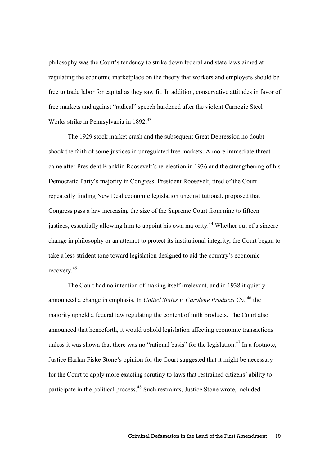philosophy was the Court's tendency to strike down federal and state laws aimed at regulating the economic marketplace on the theory that workers and employers should be free to trade labor for capital as they saw fit. In addition, conservative attitudes in favor of free markets and against "radical" speech hardened after the violent Carnegie Steel Works strike in Pennsylvania in 1892.<sup>43</sup>

The 1929 stock market crash and the subsequent Great Depression no doubt shook the faith of some justices in unregulated free markets. A more immediate threat came after President Franklin Roosevelt's re-election in 1936 and the strengthening of his Democratic Party's majority in Congress. President Roosevelt, tired of the Court repeatedly finding New Deal economic legislation unconstitutional, proposed that Congress pass a law increasing the size of the Supreme Court from nine to fifteen justices, essentially allowing him to appoint his own majority.<sup>44</sup> Whether out of a sincere change in philosophy or an attempt to protect its institutional integrity, the Court began to take a less strident tone toward legislation designed to aid the country's economic recovery. 45

The Court had no intention of making itself irrelevant, and in 1938 it quietly announced a change in emphasis. In *United States v. Carolene Products Co.,*<sup>46</sup> the majority upheld a federal law regulating the content of milk products. The Court also announced that henceforth, it would uphold legislation affecting economic transactions unless it was shown that there was no "rational basis" for the legislation.<sup>47</sup> In a footnote, Justice Harlan Fiske Stone's opinion for the Court suggested that it might be necessary for the Court to apply more exacting scrutiny to laws that restrained citizens' ability to participate in the political process.<sup>48</sup> Such restraints, Justice Stone wrote, included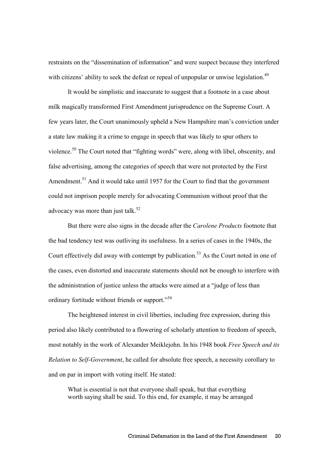restraints on the "dissemination of information" and were suspect because they interfered with citizens' ability to seek the defeat or repeal of unpopular or unwise legislation.<sup>49</sup>

It would be simplistic and inaccurate to suggest that a footnote in a case about milk magically transformed First Amendment jurisprudence on the Supreme Court. A few years later, the Court unanimously upheld a New Hampshire man's conviction under a state law making it a crime to engage in speech that was likely to spur others to violence.<sup>50</sup> The Court noted that "fighting words" were, along with libel, obscenity, and false advertising, among the categories of speech that were not protected by the First Amendment.<sup>51</sup> And it would take until 1957 for the Court to find that the government could not imprison people merely for advocating Communism without proof that the advocacy was more than just talk.<sup>52</sup>

But there were also signs in the decade after the *Carolene Products* footnote that the bad tendency test was outliving its usefulness. In a series of cases in the 1940s, the Court effectively did away with contempt by publication.<sup>53</sup> As the Court noted in one of the cases, even distorted and inaccurate statements should not be enough to interfere with the administration of justice unless the attacks were aimed at a "judge of less than ordinary fortitude without friends or support."<sup>54</sup>

The heightened interest in civil liberties, including free expression, during this period also likely contributed to a flowering of scholarly attention to freedom of speech, most notably in the work of Alexander Meiklejohn. In his 1948 book *Free Speech and its Relation to Self-Government*, he called for absolute free speech, a necessity corollary to and on par in import with voting itself. He stated:

What is essential is not that everyone shall speak, but that everything worth saying shall be said. To this end, for example, it may be arranged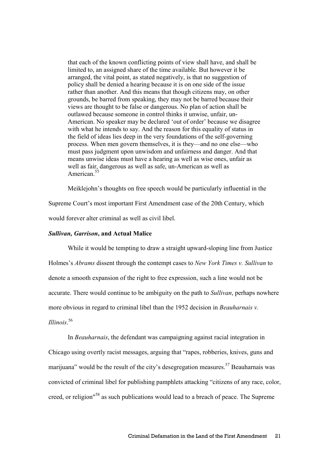that each of the known conflicting points of view shall have, and shall be limited to, an assigned share of the time available. But however it be arranged, the vital point, as stated negatively, is that no suggestion of policy shall be denied a hearing because it is on one side of the issue rather than another. And this means that though citizens may, on other grounds, be barred from speaking, they may not be barred because their views are thought to be false or dangerous. No plan of action shall be outlawed because someone in control thinks it unwise, unfair, un-American. No speaker may be declared 'out of order' because we disagree with what he intends to say. And the reason for this equality of status in the field of ideas lies deep in the very foundations of the self-governing process. When men govern themselves, it is they—and no one else—who must pass judgment upon unwisdom and unfairness and danger. And that means unwise ideas must have a hearing as well as wise ones, unfair as well as fair, dangerous as well as safe, un-American as well as American.<sup>55</sup>

Meiklejohn's thoughts on free speech would be particularly influential in the Supreme Court's most important First Amendment case of the 20th Century, which would forever alter criminal as well as civil libel.

#### *Sullivan, Garrison***, and Actual Malice**

 While it would be tempting to draw a straight upward-sloping line from Justice Holmes's *Abrams* dissent through the contempt cases to *New York Times v. Sullivan* to denote a smooth expansion of the right to free expression, such a line would not be accurate. There would continue to be ambiguity on the path to *Sullivan*, perhaps nowhere more obvious in regard to criminal libel than the 1952 decision in *Beauharnais v. Illinois*. 56

In *Beauharnais*, the defendant was campaigning against racial integration in Chicago using overtly racist messages, arguing that "rapes, robberies, knives, guns and marijuana" would be the result of the city's desegregation measures.<sup>57</sup> Beauharnais was convicted of criminal libel for publishing pamphlets attacking "citizens of any race, color, creed, or religion"<sup>58</sup> as such publications would lead to a breach of peace. The Supreme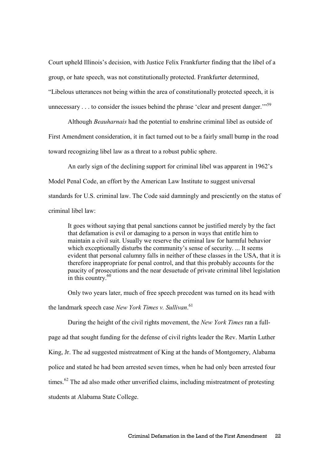Court upheld Illinois's decision, with Justice Felix Frankfurter finding that the libel of a group, or hate speech, was not constitutionally protected. Frankfurter determined, "Libelous utterances not being within the area of constitutionally protected speech, it is unnecessary . . . to consider the issues behind the phrase 'clear and present danger."<sup>59</sup>

 Although *Beauharnais* had the potential to enshrine criminal libel as outside of First Amendment consideration, it in fact turned out to be a fairly small bump in the road toward recognizing libel law as a threat to a robust public sphere.

An early sign of the declining support for criminal libel was apparent in 1962's Model Penal Code, an effort by the American Law Institute to suggest universal standards for U.S. criminal law. The Code said damningly and presciently on the status of criminal libel law:

It goes without saying that penal sanctions cannot be justified merely by the fact that defamation is evil or damaging to a person in ways that entitle him to maintain a civil suit. Usually we reserve the criminal law for harmful behavior which exceptionally disturbs the community's sense of security. ... It seems evident that personal calumny falls in neither of these classes in the USA, that it is therefore inappropriate for penal control, and that this probably accounts for the paucity of prosecutions and the near desuetude of private criminal libel legislation in this country. $60$ 

Only two years later, much of free speech precedent was turned on its head with

the landmark speech case *New York Times v. Sullivan*. 61

 During the height of the civil rights movement, the *New York Times* ran a fullpage ad that sought funding for the defense of civil rights leader the Rev. Martin Luther King, Jr. The ad suggested mistreatment of King at the hands of Montgomery, Alabama police and stated he had been arrested seven times, when he had only been arrested four times.<sup>62</sup> The ad also made other unverified claims, including mistreatment of protesting students at Alabama State College.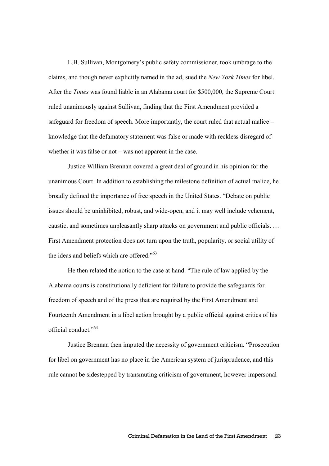L.B. Sullivan, Montgomery's public safety commissioner, took umbrage to the claims, and though never explicitly named in the ad, sued the *New York Times* for libel. After the *Times* was found liable in an Alabama court for \$500,000, the Supreme Court ruled unanimously against Sullivan, finding that the First Amendment provided a safeguard for freedom of speech. More importantly, the court ruled that actual malice – knowledge that the defamatory statement was false or made with reckless disregard of whether it was false or not – was not apparent in the case.

 Justice William Brennan covered a great deal of ground in his opinion for the unanimous Court. In addition to establishing the milestone definition of actual malice, he broadly defined the importance of free speech in the United States. "Debate on public issues should be uninhibited, robust, and wide-open, and it may well include vehement, caustic, and sometimes unpleasantly sharp attacks on government and public officials. … First Amendment protection does not turn upon the truth, popularity, or social utility of the ideas and beliefs which are offered."<sup>63</sup>

He then related the notion to the case at hand. "The rule of law applied by the Alabama courts is constitutionally deficient for failure to provide the safeguards for freedom of speech and of the press that are required by the First Amendment and Fourteenth Amendment in a libel action brought by a public official against critics of his official conduct."<sup>64</sup>

 Justice Brennan then imputed the necessity of government criticism. "Prosecution for libel on government has no place in the American system of jurisprudence, and this rule cannot be sidestepped by transmuting criticism of government, however impersonal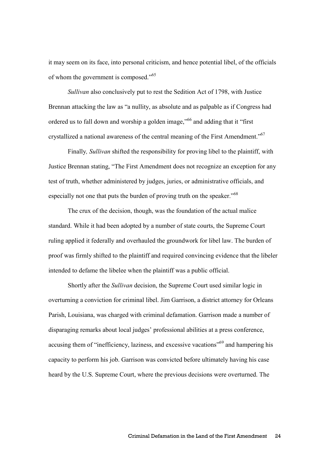it may seem on its face, into personal criticism, and hence potential libel, of the officials of whom the government is composed."<sup>65</sup>

*Sullivan* also conclusively put to rest the Sedition Act of 1798, with Justice Brennan attacking the law as "a nullity, as absolute and as palpable as if Congress had ordered us to fall down and worship a golden image,"<sup>66</sup> and adding that it "first crystallized a national awareness of the central meaning of the First Amendment."<sup>67</sup>

Finally*, Sullivan* shifted the responsibility for proving libel to the plaintiff, with Justice Brennan stating, "The First Amendment does not recognize an exception for any test of truth, whether administered by judges, juries, or administrative officials, and especially not one that puts the burden of proving truth on the speaker."<sup>68</sup>

 The crux of the decision, though, was the foundation of the actual malice standard. While it had been adopted by a number of state courts, the Supreme Court ruling applied it federally and overhauled the groundwork for libel law. The burden of proof was firmly shifted to the plaintiff and required convincing evidence that the libeler intended to defame the libelee when the plaintiff was a public official.

 Shortly after the *Sullivan* decision, the Supreme Court used similar logic in overturning a conviction for criminal libel. Jim Garrison, a district attorney for Orleans Parish, Louisiana, was charged with criminal defamation. Garrison made a number of disparaging remarks about local judges' professional abilities at a press conference, accusing them of "inefficiency, laziness, and excessive vacations"<sup>69</sup> and hampering his capacity to perform his job. Garrison was convicted before ultimately having his case heard by the U.S. Supreme Court, where the previous decisions were overturned. The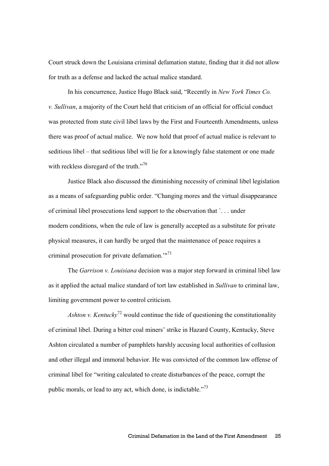Court struck down the Louisiana criminal defamation statute, finding that it did not allow for truth as a defense and lacked the actual malice standard.

In his concurrence, Justice Hugo Black said, "Recently in *New York Times Co. v. Sullivan*, a majority of the Court held that criticism of an official for official conduct was protected from state civil libel laws by the First and Fourteenth Amendments, unless there was proof of actual malice. We now hold that proof of actual malice is relevant to seditious libel – that seditious libel will lie for a knowingly false statement or one made with reckless disregard of the truth. $170$ 

Justice Black also discussed the diminishing necessity of criminal libel legislation as a means of safeguarding public order. "Changing mores and the virtual disappearance of criminal libel prosecutions lend support to the observation that `. . . under modern conditions, when the rule of law is generally accepted as a substitute for private physical measures, it can hardly be urged that the maintenance of peace requires a criminal prosecution for private defamation.'"<sup>71</sup>

 The *Garrison v. Louisiana* decision was a major step forward in criminal libel law as it applied the actual malice standard of tort law established in *Sullivan* to criminal law, limiting government power to control criticism.

*Ashton v. Kentucky*<sup>72</sup> would continue the tide of questioning the constitutionality of criminal libel. During a bitter coal miners' strike in Hazard County, Kentucky, Steve Ashton circulated a number of pamphlets harshly accusing local authorities of collusion and other illegal and immoral behavior. He was convicted of the common law offense of criminal libel for "writing calculated to create disturbances of the peace, corrupt the public morals, or lead to any act, which done, is indictable."<sup>73</sup>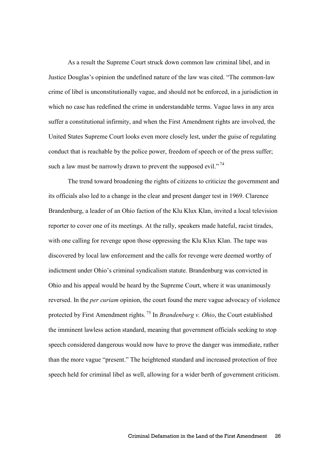As a result the Supreme Court struck down common law criminal libel, and in Justice Douglas's opinion the undefined nature of the law was cited. "The common-law crime of libel is unconstitutionally vague, and should not be enforced, in a jurisdiction in which no case has redefined the crime in understandable terms. Vague laws in any area suffer a constitutional infirmity, and when the First Amendment rights are involved, the United States Supreme Court looks even more closely lest, under the guise of regulating conduct that is reachable by the police power, freedom of speech or of the press suffer; such a law must be narrowly drawn to prevent the supposed evil."<sup>74</sup>

 The trend toward broadening the rights of citizens to criticize the government and its officials also led to a change in the clear and present danger test in 1969. Clarence Brandenburg, a leader of an Ohio faction of the Klu Klux Klan, invited a local television reporter to cover one of its meetings. At the rally, speakers made hateful, racist tirades, with one calling for revenge upon those oppressing the Klu Klux Klan. The tape was discovered by local law enforcement and the calls for revenge were deemed worthy of indictment under Ohio's criminal syndicalism statute. Brandenburg was convicted in Ohio and his appeal would be heard by the Supreme Court, where it was unanimously reversed. In the *per curiam* opinion, the court found the mere vague advocacy of violence protected by First Amendment rights.<sup>75</sup> In *Brandenburg v. Ohio*, the Court established the imminent lawless action standard, meaning that government officials seeking to stop speech considered dangerous would now have to prove the danger was immediate, rather than the more vague "present." The heightened standard and increased protection of free speech held for criminal libel as well, allowing for a wider berth of government criticism.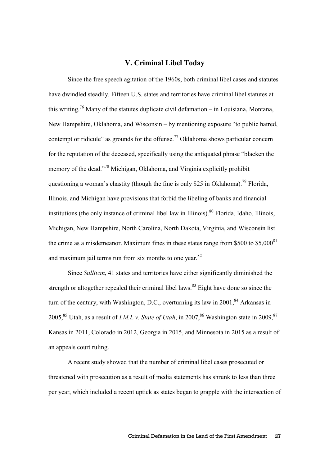#### **V. Criminal Libel Today**

Since the free speech agitation of the 1960s, both criminal libel cases and statutes have dwindled steadily. Fifteen U.S. states and territories have criminal libel statutes at this writing.<sup>76</sup> Many of the statutes duplicate civil defamation – in Louisiana, Montana, New Hampshire, Oklahoma, and Wisconsin – by mentioning exposure "to public hatred, contempt or ridicule" as grounds for the offense.<sup>77</sup> Oklahoma shows particular concern for the reputation of the deceased, specifically using the antiquated phrase "blacken the memory of the dead."<sup>78</sup> Michigan, Oklahoma, and Virginia explicitly prohibit questioning a woman's chastity (though the fine is only \$25 in Oklahoma).<sup>79</sup> Florida, Illinois, and Michigan have provisions that forbid the libeling of banks and financial institutions (the only instance of criminal libel law in Illinois).<sup>80</sup> Florida, Idaho, Illinois, Michigan, New Hampshire, North Carolina, North Dakota, Virginia, and Wisconsin list the crime as a misdemeanor. Maximum fines in these states range from  $$500$  to  $$5,000<sup>81</sup>$ and maximum jail terms run from six months to one year.<sup>82</sup>

Since *Sullivan*, 41 states and territories have either significantly diminished the strength or altogether repealed their criminal libel laws.<sup>83</sup> Eight have done so since the turn of the century, with Washington, D.C., overturning its law in  $2001$ ,  $84$  Arkansas in 2005,<sup>85</sup> Utah, as a result of *I.M.L v. State of Utah*, in 2007,<sup>86</sup> Washington state in 2009,<sup>87</sup> Kansas in 2011, Colorado in 2012, Georgia in 2015, and Minnesota in 2015 as a result of an appeals court ruling.

A recent study showed that the number of criminal libel cases prosecuted or threatened with prosecution as a result of media statements has shrunk to less than three per year, which included a recent uptick as states began to grapple with the intersection of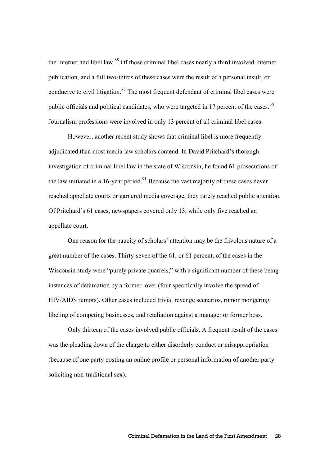the Internet and libel law.<sup>88</sup> Of those criminal libel cases nearly a third involved Internet publication, and a full two-thirds of these cases were the result of a personal insult, or conducive to civil litigation.<sup>89</sup> The most frequent defendant of criminal libel cases were public officials and political candidates, who were targeted in 17 percent of the cases.<sup>90</sup> Journalism professions were involved in only 13 percent of all criminal libel cases.

However, another recent study shows that criminal libel is more frequently adjudicated than most media law scholars contend. In David Pritchard's thorough investigation of criminal libel law in the state of Wisconsin, he found 61 prosecutions of the law initiated in a 16-year period. $91$  Because the vast majority of these cases never reached appellate courts or garnered media coverage, they rarely reached public attention. Of Pritchard's 61 cases, newspapers covered only 13, while only five reached an appellate court.

One reason for the paucity of scholars' attention may be the frivolous nature of a great number of the cases. Thirty-seven of the 61, or 61 percent, of the cases in the Wisconsin study were "purely private quarrels," with a significant number of these being instances of defamation by a former lover (four specifically involve the spread of HIV/AIDS rumors). Other cases included trivial revenge scenarios, rumor mongering, libeling of competing businesses, and retaliation against a manager or former boss.

Only thirteen of the cases involved public officials. A frequent result of the cases was the pleading down of the charge to either disorderly conduct or misappropriation (because of one party posting an online profile or personal information of another party soliciting non-traditional sex).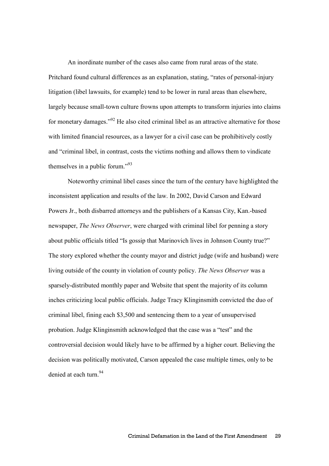An inordinate number of the cases also came from rural areas of the state. Pritchard found cultural differences as an explanation, stating, "rates of personal-injury litigation (libel lawsuits, for example) tend to be lower in rural areas than elsewhere, largely because small-town culture frowns upon attempts to transform injuries into claims for monetary damages."<sup>92</sup> He also cited criminal libel as an attractive alternative for those with limited financial resources, as a lawyer for a civil case can be prohibitively costly and "criminal libel, in contrast, costs the victims nothing and allows them to vindicate themselves in a public forum."<sup>93</sup>

Noteworthy criminal libel cases since the turn of the century have highlighted the inconsistent application and results of the law. In 2002, David Carson and Edward Powers Jr., both disbarred attorneys and the publishers of a Kansas City, Kan.-based newspaper, *The News Observer*, were charged with criminal libel for penning a story about public officials titled "Is gossip that Marinovich lives in Johnson County true?" The story explored whether the county mayor and district judge (wife and husband) were living outside of the county in violation of county policy. *The News Observer* was a sparsely-distributed monthly paper and Website that spent the majority of its column inches criticizing local public officials. Judge Tracy Klinginsmith convicted the duo of criminal libel, fining each \$3,500 and sentencing them to a year of unsupervised probation. Judge Klinginsmith acknowledged that the case was a "test" and the controversial decision would likely have to be affirmed by a higher court. Believing the decision was politically motivated, Carson appealed the case multiple times, only to be denied at each turn.<sup>94</sup>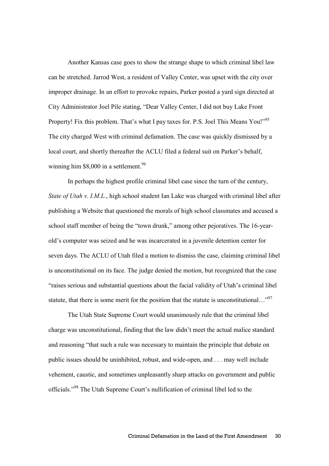Another Kansas case goes to show the strange shape to which criminal libel law can be stretched. Jarrod West, a resident of Valley Center, was upset with the city over improper drainage. In an effort to provoke repairs, Parker posted a yard sign directed at City Administrator Joel Pile stating, "Dear Valley Center, I did not buy Lake Front Property! Fix this problem. That's what I pay taxes for. P.S. Joel This Means You!"<sup>95</sup> The city charged West with criminal defamation. The case was quickly dismissed by a local court, and shortly thereafter the ACLU filed a federal suit on Parker's behalf, winning him \$8,000 in a settlement.<sup>96</sup>

In perhaps the highest profile criminal libel case since the turn of the century, *State of Utah v. I.M.L.*, high school student Ian Lake was charged with criminal libel after publishing a Website that questioned the morals of high school classmates and accused a school staff member of being the "town drunk," among other pejoratives. The 16-yearold's computer was seized and he was incarcerated in a juvenile detention center for seven days. The ACLU of Utah filed a motion to dismiss the case, claiming criminal libel is unconstitutional on its face. The judge denied the motion, but recognized that the case "raises serious and substantial questions about the facial validity of Utah's criminal libel statute, that there is some merit for the position that the statute is unconstitutional..."<sup>97</sup>

The Utah State Supreme Court would unanimously rule that the criminal libel charge was unconstitutional, finding that the law didn't meet the actual malice standard and reasoning "that such a rule was necessary to maintain the principle that debate on public issues should be uninhibited, robust, and wide-open, and . . . may well include vehement, caustic, and sometimes unpleasantly sharp attacks on government and public officials."<sup>98</sup> The Utah Supreme Court's nullification of criminal libel led to the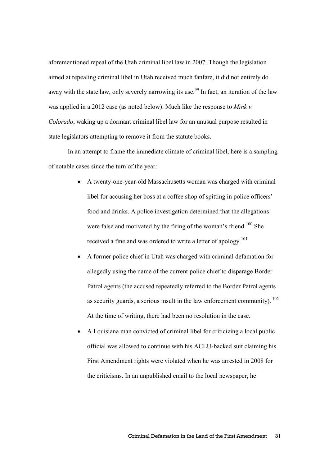aforementioned repeal of the Utah criminal libel law in 2007. Though the legislation aimed at repealing criminal libel in Utah received much fanfare, it did not entirely do away with the state law, only severely narrowing its use.<sup>99</sup> In fact, an iteration of the law was applied in a 2012 case (as noted below). Much like the response to *Mink v. Colorado*, waking up a dormant criminal libel law for an unusual purpose resulted in state legislators attempting to remove it from the statute books.

In an attempt to frame the immediate climate of criminal libel, here is a sampling of notable cases since the turn of the year:

- A twenty-one-year-old Massachusetts woman was charged with criminal libel for accusing her boss at a coffee shop of spitting in police officers' food and drinks. A police investigation determined that the allegations were false and motivated by the firing of the woman's friend.<sup>100</sup> She received a fine and was ordered to write a letter of apology.<sup>101</sup>
- A former police chief in Utah was charged with criminal defamation for allegedly using the name of the current police chief to disparage Border Patrol agents (the accused repeatedly referred to the Border Patrol agents as security guards, a serious insult in the law enforcement community).  $^{102}$ At the time of writing, there had been no resolution in the case.
- A Louisiana man convicted of criminal libel for criticizing a local public official was allowed to continue with his ACLU-backed suit claiming his First Amendment rights were violated when he was arrested in 2008 for the criticisms. In an unpublished email to the local newspaper, he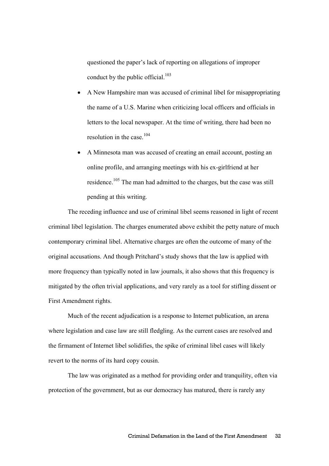questioned the paper's lack of reporting on allegations of improper conduct by the public official. $103$ 

- A New Hampshire man was accused of criminal libel for misappropriating the name of a U.S. Marine when criticizing local officers and officials in letters to the local newspaper. At the time of writing, there had been no resolution in the case.<sup>104</sup>
- A Minnesota man was accused of creating an email account, posting an online profile, and arranging meetings with his ex-girlfriend at her residence.<sup>105</sup> The man had admitted to the charges, but the case was still pending at this writing.

 The receding influence and use of criminal libel seems reasoned in light of recent criminal libel legislation. The charges enumerated above exhibit the petty nature of much contemporary criminal libel. Alternative charges are often the outcome of many of the original accusations. And though Pritchard's study shows that the law is applied with more frequency than typically noted in law journals, it also shows that this frequency is mitigated by the often trivial applications, and very rarely as a tool for stifling dissent or First Amendment rights.

 Much of the recent adjudication is a response to Internet publication, an arena where legislation and case law are still fledgling. As the current cases are resolved and the firmament of Internet libel solidifies, the spike of criminal libel cases will likely revert to the norms of its hard copy cousin.

The law was originated as a method for providing order and tranquility, often via protection of the government, but as our democracy has matured, there is rarely any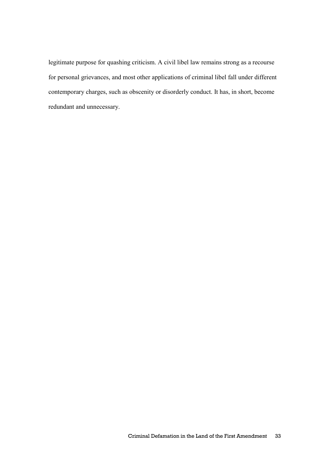legitimate purpose for quashing criticism. A civil libel law remains strong as a recourse for personal grievances, and most other applications of criminal libel fall under different contemporary charges, such as obscenity or disorderly conduct. It has, in short, become redundant and unnecessary.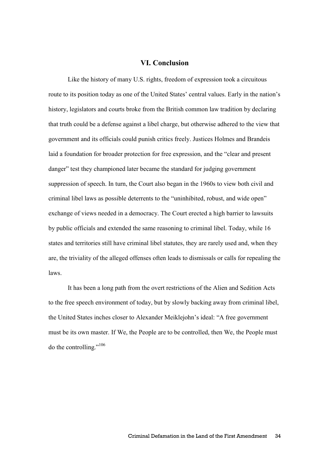#### **VI. Conclusion**

 Like the history of many U.S. rights, freedom of expression took a circuitous route to its position today as one of the United States' central values. Early in the nation's history, legislators and courts broke from the British common law tradition by declaring that truth could be a defense against a libel charge, but otherwise adhered to the view that government and its officials could punish critics freely. Justices Holmes and Brandeis laid a foundation for broader protection for free expression, and the "clear and present danger" test they championed later became the standard for judging government suppression of speech. In turn, the Court also began in the 1960s to view both civil and criminal libel laws as possible deterrents to the "uninhibited, robust, and wide open" exchange of views needed in a democracy. The Court erected a high barrier to lawsuits by public officials and extended the same reasoning to criminal libel. Today, while 16 states and territories still have criminal libel statutes, they are rarely used and, when they are, the triviality of the alleged offenses often leads to dismissals or calls for repealing the laws.

It has been a long path from the overt restrictions of the Alien and Sedition Acts to the free speech environment of today, but by slowly backing away from criminal libel, the United States inches closer to Alexander Meiklejohn's ideal: "A free government must be its own master. If We, the People are to be controlled, then We, the People must do the controlling." $106$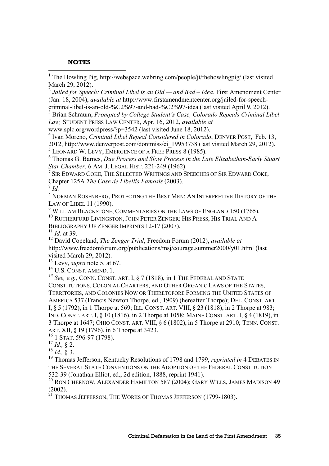#### **NOTES**

<sup>1</sup> The Howling Pig, http://webspace.webring.com/people/jt/thehowlingpig/ (last visited March 29, 2012).

2 *Jailed for Speech: Criminal Libel is an Old — and Bad – Idea*, First Amendment Center (Jan. 18, 2004), *available at* http://www.firstamendmentcenter.org/jailed-for-speech-

criminal-libel-is-an-old-%C2%97-and-bad-%C2%97-idea (last visited April 9, 2012).

3 Brian Schraum, *Prompted by College Student's Case, Colorado Repeals Criminal Libel Law,* STUDENT PRESS LAW CENTER, Apr. 16, 2012, *available at* 

www.splc.org/wordpress/?p=3542 (last visited June 18, 2012).

4 Ivan Moreno, *Criminal Libel Repeal Considered in Colorado*, DENVER POST, Feb. 13, 2012, http://www.denverpost.com/dontmiss/ci\_19953738 (last visited March 29, 2012). 5 LEONARD W. LEVY, EMERGENCE OF A FREE PRESS 8 (1985).

6 Thomas G. Barnes, *Due Process and Slow Process in the Late Elizabethan-Early Stuart Star Chamber*, 6 AM. J. LEGAL HIST. 221-249 (1962).

<sup>7</sup>SIR EDWARD COKE, THE SELECTED WRITINGS AND SPEECHES OF SIR EDWARD COKE*,* Chapter 125A *The Case de Libellis Famosis* (2003).

7 *Id.*

 $^8$  Norman Rosenberg, Protecting the Best Men: An Interpretive History of the LAW OF LIBEL 11 (1990).

 $^9$  WILLIAM BLACKSTONE, COMMENTARIES ON THE LAWS OF ENGLAND 150 (1765).

<sup>10</sup> RUTHERFURD LIVINGSTON, JOHN PETER ZENGER: HIS PRESS, HIS TRIAL AND A BIBLIOGRAPHY OF ZENGER IMPRINTS 12-17 (2007).

<sup>11</sup> *Id.* at 39.

<sup>12</sup> David Copeland, *The Zenger Trial*, Freedom Forum (2012), *available at* http://www.freedomforum.org/publications/msj/courage.summer2000/y01.html (last visited March 29, 2012).

<sup>13</sup> Levy, *supra* note 5, at 67.

<sup>14</sup> U.S. CONST. AMEND. 1.

*<sup>15</sup> See, e.g.,* CONN. CONST. ART. I, § 7 (1818), in 1 THE FEDERAL AND STATE CONSTITUTIONS, COLONIAL CHARTERS, AND OTHER ORGANIC LAWS OF THE STATES, TERRITORIES, AND COLONIES NOW OR THERETOFORE FORMING THE UNITED STATES OF AMERICA 537 (Francis Newton Thorpe, ed., 1909) (hereafter Thorpe); DEL. CONST. ART. I, § 5 (1792), in 1 Thorpe at 569; ILL. CONST. ART. VIII, § 23 (1818), in 2 Thorpe at 983; IND. CONST. ART. I, § 10 (1816), in 2 Thorpe at 1058; MAINE CONST. ART. I, § 4 (1819), in 3 Thorpe at 1647; OHIO CONST. ART. VIII, § 6 (1802), in 5 Thorpe at 2910; TENN. CONST. ART. XII, § 19 (1796), in 6 Thorpe at 3423.

 $16$  1 STAT. 596-97 (1798).

<sup>18</sup> *Id.,* § 3.

<sup>19</sup> Thomas Jefferson, Kentucky Resolutions of 1798 and 1799, *reprinted in* 4 DEBATES IN THE SEVERAL STATE CONVENTIONS ON THE ADOPTION OF THE FEDERAL CONSTITUTION 532-39 (Jonathan Elliot, ed., 2d edition, 1888, reprint 1941).

<sup>20</sup> RON CHERNOW, ALEXANDER HAMILTON 587 (2004); GARY WILLS, JAMES MADISON 49 (2002).

 $^{21}$  Thomas Jefferson, The Works of Thomas Jefferson (1799-1803).

 $17$  *Id.*, § 2.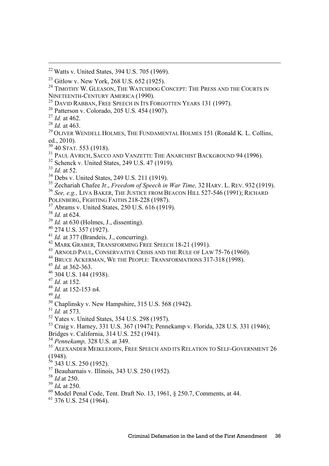- Patterson v. Colorado, 205 U.S. 454 (1907).
- *Id.* at 462.
- *Id.* at 463.

l

- <sup>29</sup> OLIVER WENDELL HOLMES, THE FUNDAMENTAL HOLMES 151 (Ronald K. L. Collins, ed., 2010).
- $30\overline{40}$  STAT. 553 (1918).
- <sup>31</sup> PAUL AVRICH, SACCO AND VANZETTI: THE ANARCHIST BACKGROUND 94 (1996).
- Schenck v. United States, 249 U.S. 47 (1919).
- *Id.* at 52.
- Debs v. United States, 249 U.S. 211 (1919).

Zechariah Chafee Jr., *Freedom of Speech in War Time,* 32 HARV. L. REV. 932 (1919).

- *See, e.g.,* LIVA BAKER, THE JUSTICE FROM BEACON HILL 527-546 (1991); RICHARD
- POLENBERG, FIGHTING FAITHS 218-228 (1987).
- Abrams v. United States, 250 U.S. 616 (1919).
- *Id.* at 624.
- *Id.* at 630 (Holmes, J., dissenting).
- 274 U.S. 357 (1927).
- *Id.* at 377 (Brandeis, J., concurring).
- <sup>42</sup> MARK GRABER, TRANSFORMING FREE SPEECH 18-21 (1991).
- <sup>43</sup> ARNOLD PAUL, CONSERVATIVE CRISIS AND THE RULE OF LAW 75-76 (1960).
- BRUCE ACKERMAN, WE THE PEOPLE: TRANSFORMATIONS 317-318 (1998).
- *Id.* at 362-363.
- 304 U.S. 144 (1938).
- *Id.* at 152.
- $^{48}$  *Id.* at 152-153 n4
- *Id.*
- Chaplinsky v. New Hampshire, 315 U.S. 568 (1942).
- *Id.* at 573.
- Yates v. United States, 354 U.S. 298 (1957).
- Craig v. Harney, 331 U.S. 367 (1947); Pennekamp v. Florida, 328 U.S. 331 (1946); Bridges v. California, 314 U.S. 252 (1941).
- *Pennekamp,* 328 U.S. at 349.
- ALEXANDER MEIKLEJOHN, FREE SPEECH AND ITS RELATION TO SELF-GOVERNMENT 26 (1948).
- 343 U.S. 250 (1952).
- Beauharnais v. Illinois, 343 U.S. 250 (1952).
- *Id.*at 250.
- *Id.* at 250.
- $^{60}$  Model Penal Code, Tent. Draft No. 13, 1961,  $\frac{8}{250.7}$ , Comments, at 44.
- 376 U.S. 254 (1964).

Watts v. United States, 394 U.S. 705 (1969).

<sup>&</sup>lt;sup>23</sup> Gitlow v. New York, 268 U.S. 652 (1925).

<sup>&</sup>lt;sup>24</sup> TIMOTHY W. GLEASON, THE WATCHDOG CONCEPT: THE PRESS AND THE COURTS IN NINETEENTH-CENTURY AMERICA (1990).

<sup>&</sup>lt;sup>25</sup> DAVID RABBAN, FREE SPEECH IN ITS FORGOTTEN YEARS 131 (1997).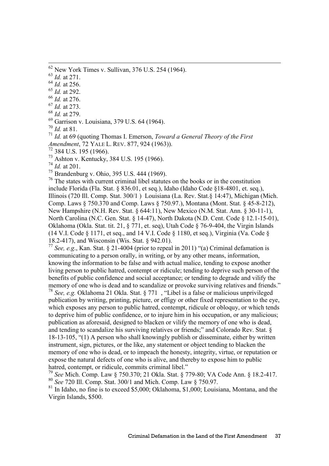$62$  New York Times v. Sullivan, 376 U.S. 254 (1964).

<sup>63</sup> *Id.* at 271.

l

<sup>64</sup> *Id.* at 256.

<sup>65</sup> *Id.* at 292.

<sup>66</sup> *Id.* at 276.

<sup>67</sup> *Id.* at 273.

<sup>68</sup> *Id.* at 279.

 $^{69}$  Garrison v. Louisiana, 379 U.S. 64 (1964).

<sup>70</sup> *Id.* at 81.

<sup>71</sup> *Id.* at 69 (quoting Thomas I. Emerson, *Toward a General Theory of the First Amendment*, 72 YALE L. REV. 877, 924 (1963)).

 $72$  384 U.S. 195 (1966).

<sup>73</sup> Ashton v. Kentucky, 384 U.S. 195 (1966).

<sup>74</sup> *Id.* at 201.

<sup>75</sup> Brandenburg v. Ohio, 395 U.S. 444 (1969).

<sup>76</sup> The states with current criminal libel statutes on the books or in the constitution include Florida (Fla. Stat. § 836.01, et seq.), Idaho (Idaho Code §18-4801, et. seq.), Illinois (720 Ill. Comp. Stat. 300/1 ) Louisiana (La. Rev. Stat.§ 14:47), Michigan (Mich. Comp. Laws § 750.370 and Comp. Laws § 750.97.), Montana (Mont. Stat. § 45-8-212), New Hampshire (N.H. Rev. Stat. § 644:11), New Mexico (N.M. Stat. Ann. § 30-11-1), North Carolina (N.C. Gen. Stat. § 14-47), North Dakota (N.D. Cent. Code § 12.1-15-01), Oklahoma (Okla. Stat. tit. 21, § 771, et. seq), Utah Code § 76-9-404, the Virgin Islands (14 V.I. Code  $\S$  1171, et seq., and 14 V.I. Code  $\S$  1180, et seq.), Virginia (Va. Code  $\S$ 18.2-417), and Wisconsin (Wis. Stat. § 942.01).

<sup>77</sup> *See, e.g*., Kan. Stat. § 21-4004 (prior to repeal in 2011) "(a) Criminal defamation is communicating to a person orally, in writing, or by any other means, information, knowing the information to be false and with actual malice, tending to expose another living person to public hatred, contempt or ridicule; tending to deprive such person of the benefits of public confidence and social acceptance; or tending to degrade and vilify the memory of one who is dead and to scandalize or provoke surviving relatives and friends."

<sup>78</sup> *See, e.g.* Oklahoma 21 Okla. Stat. § 771 , "Libel is a false or malicious unprivileged publication by writing, printing, picture, or effigy or other fixed representation to the eye. which exposes any person to public hatred, contempt, ridicule or obloquy, or which tends to deprive him of public confidence, or to injure him in his occupation, or any malicious; publication as aforesaid, designed to blacken or vilify the memory of one who is dead, and tending to scandalize his surviving relatives or friends;" and Colorado Rev. Stat. § 18-13-105, "(1) A person who shall knowingly publish or disseminate, either by written instrument, sign, pictures, or the like, any statement or object tending to blacken the memory of one who is dead, or to impeach the honesty, integrity, virtue, or reputation or expose the natural defects of one who is alive, and thereby to expose him to public hatred, contempt, or ridicule, commits criminal libel."

<sup>79</sup> *See* Mich. Comp. Law § 750.370; 21 Okla. Stat. § 779-80; VA Code Ann. § 18.2-417. <sup>80</sup> *See* 720 Ill. Comp. Stat. 300/1 and Mich. Comp. Law § 750.97.

 $81$  In Idaho, no fine is to exceed \$5,000; Oklahoma, \$1,000; Louisiana, Montana, and the Virgin Islands, \$500.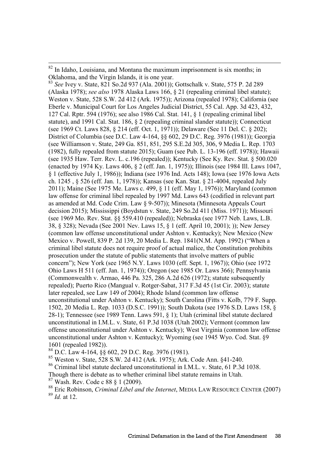l

<sup>83</sup> *See* Ivey v. State, 821 So.2d 937 (Ala. 2001)); Gottschalk v. State, 575 P. 2d 289 (Alaska 1978); *see also* 1978 Alaska Laws 166, § 21 (repealing criminal libel statute); Weston v. State, 528 S.W. 2d 412 (Ark. 1975)); Arizona (repealed 1978); California (see Eberle v. Municipal Court for Los Angeles Judicial District, 55 Cal. App. 3d 423, 432, 127 Cal. Rptr. 594 (1976); see also 1986 Cal. Stat. 141, § 1 (repealing criminal libel statute), and 1991 Cal. Stat. 186, § 2 (repealing criminal slander statute)); Connecticut (see 1969 Ct. Laws 828, § 214 (eff. Oct. 1, 1971)); Delaware (See 11 Del. C. § 202); District of Columbia (see D.C. Law 4-164, §§ 602, 29 D.C. Reg. 3976 (1981)); Georgia (see Williamson v. State, 249 Ga. 851, 851, 295 S.E.2d 305, 306, 9 Media L. Rep. 1703 (1982), fully repealed from statute 2015); Guam (see Pub. L. 13-196 (eff. 1978)); Hawaii (see 1935 Haw. Terr. Rev. L. c.196 (repealed)); Kentucky (See Ky. Rev. Stat. § 500.020 (enacted by 1974 Ky. Laws 406, § 2 (eff. Jan. 1, 1975)); Illinois (see 1984 Ill. Laws 1047, § 1 (effective July 1, 1986)); Indiana (see 1976 Ind. Acts 148); Iowa (see 1976 Iowa Acts ch. 1245 , § 526 (eff. Jan. 1, 1978)); Kansas (see Kan. Stat. § 21-4004, repealed July 2011); Maine (See 1975 Me. Laws c. 499, § 11 (eff. May 1, 1976)); Maryland (common law offense for criminal libel repealed by 1997 Md. Laws 643 (codified in relevant part as amended at Md. Code Crim. Law § 9-507)); Minesota (Minnesota Appeals Court decision 2015); Mississippi (Boydstun v. State, 249 So.2d 411 (Miss. 1971)); Missouri (see 1969 Mo. Rev. Stat. §§ 559.410 (repealed)); Nebraska (see 1977 Neb. Laws, L.B. 38, § 328); Nevada (See 2001 Nev. Laws 15, § 1 (eff. April 10, 2001); )); New Jersey (common law offense unconstitutional under Ashton v. Kentucky); New Mexico (New Mexico v. Powell, 839 P. 2d 139, 20 Media L. Rep. 1841(N.M. App. 1992) ("When a criminal libel statute does not require proof of actual malice, the Constitution prohibits prosecution under the statute of public statements that involve matters of public concern"); New York (see 1965 N.Y. Laws 1030 (eff. Sept. 1, 1967)); Ohio (see 1972 Ohio Laws H 511 (eff. Jan. 1, 1974)); Oregon (see 1985 Or. Laws 366); Pennsylvania (Commonwealth v. Armao, 446 Pa. 325, 286 A.2d 626 (1972); statute subsequently repealed); Puerto Rico (Mangual v. Rotger-Sabat, 317 F.3d 45 (1st Cir. 2003); statute later repealed, see Law 149 of 2004); Rhode Island (common law offense unconstitutional under Ashton v. Kentucky); South Carolina (Fitts v. Kolb, 779 F. Supp. 1502, 20 Media L. Rep. 1033 (D.S.C. 1991)); South Dakota (see 1976 S.D. Laws 158, § 28-1); Tennessee (see 1989 Tenn. Laws 591, § 1); Utah (criminal libel statute declared unconstitutional in I.M.L. v. State, 61 P.3d 1038 (Utah 2002); Vermont (common law offense unconstitutional under Ashton v. Kentucky); West Virginia (common law offense unconstitutional under Ashton v. Kentucky); Wyoming (see 1945 Wyo. Cod. Stat. §9 1601 (repealed 1982)).

<sup>84</sup> D.C. Law 4-164, §§ 602, 29 D.C. Reg. 3976 (1981).

<sup>85</sup> Weston v. State, 528 S.W. 2d 412 (Ark. 1975); Ark. Code Ann. §41-240.

<sup>86</sup> Criminal libel statute declared unconstitutional in I.M.L. v. State, 61 P.3d 1038.

Though there is debate as to whether criminal libel statute remains in Utah.

<sup>87</sup> Wash. Rev. Code c 88 § 1 (2009).

<sup>88</sup> Eric Robinson, *Criminal Libel and the Internet*, MEDIA LAW RESOURCE CENTER (2007) <sup>89</sup> *Id.* at 12.

 $82$  In Idaho, Louisiana, and Montana the maximum imprisonment is six months; in Oklahoma, and the Virgin Islands, it is one year.